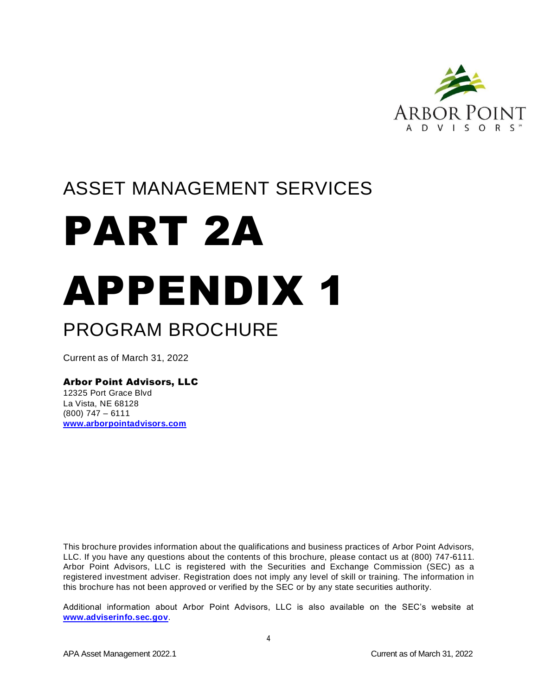

# ASSET MANAGEMENT SERVICES

# PART 2A APPENDIX 1 PROGRAM BROCHURE

Current as of March 31, 2022

# Arbor Point Advisors, LLC

12325 Port Grace Blvd La Vista, NE 68128 (800) 747 – 6111 **[www.arborpointadvisors.com](http://www.arborpointadvisors.com/)**

This brochure provides information about the qualifications and business practices of Arbor Point Advisors, LLC. If you have any questions about the contents of this brochure, please contact us at (800) 747-6111. Arbor Point Advisors, LLC is registered with the Securities and Exchange Commission (SEC) as a registered investment adviser. Registration does not imply any level of skill or training. The information in this brochure has not been approved or verified by the SEC or by any state securities authority.

Additional information about Arbor Point Advisors, LLC is also available on the SEC's website at **[www.adviserinfo.sec.gov](http://www.adviserinfo.sec.gov/)**.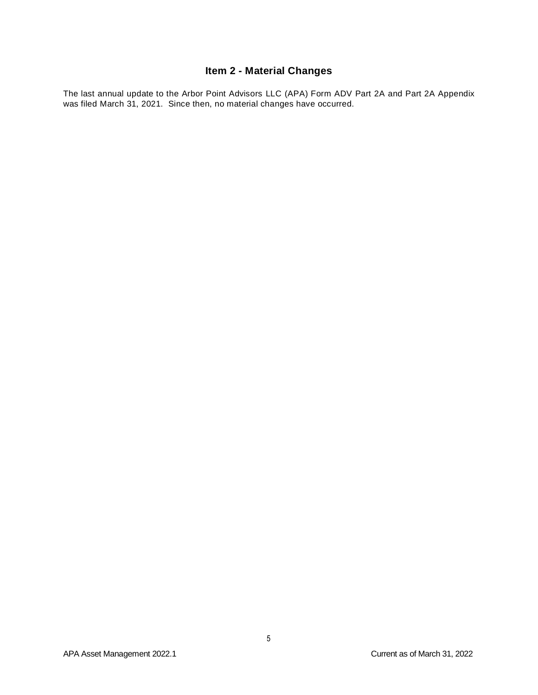# **Item 2 - Material Changes**

<span id="page-1-0"></span>The last annual update to the Arbor Point Advisors LLC (APA) Form ADV Part 2A and Part 2A Appendix was filed March 31, 2021. Since then, no material changes have occurred.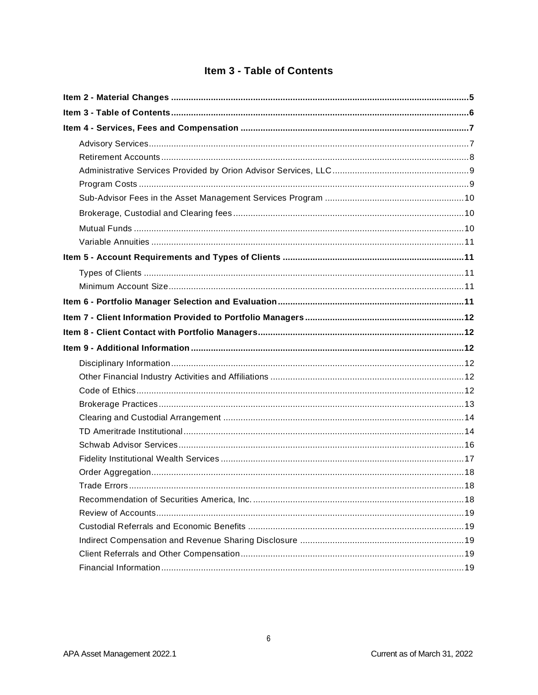# Item 3 - Table of Contents

<span id="page-2-0"></span>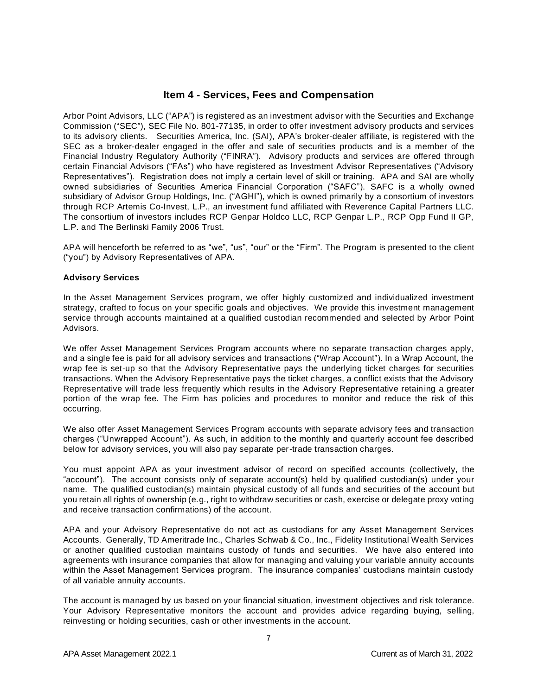# **Item 4 - Services, Fees and Compensation**

<span id="page-3-0"></span>Arbor Point Advisors, LLC ("APA") is registered as an investment advisor with the Securities and Exchange Commission ("SEC"), SEC File No. 801-77135, in order to offer investment advisory products and services to its advisory clients. Securities America, Inc. (SAI), APA's broker-dealer affiliate, is registered with the SEC as a broker-dealer engaged in the offer and sale of securities products and is a member of the Financial Industry Regulatory Authority ("FINRA"). Advisory products and services are offered through certain Financial Advisors ("FAs") who have registered as Investment Advisor Representatives ("Advisory Representatives"). Registration does not imply a certain level of skill or training. APA and SAI are wholly owned subsidiaries of Securities America Financial Corporation ("SAFC"). SAFC is a wholly owned subsidiary of Advisor Group Holdings, Inc. ("AGHI"), which is owned primarily by a consortium of investors through RCP Artemis Co-Invest, L.P., an investment fund affiliated with Reverence Capital Partners LLC. The consortium of investors includes RCP Genpar Holdco LLC, RCP Genpar L.P., RCP Opp Fund II GP, L.P. and The Berlinski Family 2006 Trust.

APA will henceforth be referred to as "we", "us", "our" or the "Firm". The Program is presented to the client ("you") by Advisory Representatives of APA.

#### <span id="page-3-1"></span>**Advisory Services**

In the Asset Management Services program, we offer highly customized and individualized investment strategy, crafted to focus on your specific goals and objectives. We provide this investment management service through accounts maintained at a qualified custodian recommended and selected by Arbor Point Advisors.

We offer Asset Management Services Program accounts where no separate transaction charges apply, and a single fee is paid for all advisory services and transactions ("Wrap Account"). In a Wrap Account, the wrap fee is set-up so that the Advisory Representative pays the underlying ticket charges for securities transactions. When the Advisory Representative pays the ticket charges, a conflict exists that the Advisory Representative will trade less frequently which results in the Advisory Representative retaining a greater portion of the wrap fee. The Firm has policies and procedures to monitor and reduce the risk of this occurring.

We also offer Asset Management Services Program accounts with separate advisory fees and transaction charges ("Unwrapped Account"). As such, in addition to the monthly and quarterly account fee described below for advisory services, you will also pay separate per-trade transaction charges.

You must appoint APA as your investment advisor of record on specified accounts (collectively, the "account"). The account consists only of separate account(s) held by qualified custodian(s) under your name. The qualified custodian(s) maintain physical custody of all funds and securities of the account but you retain all rights of ownership (e.g., right to withdraw securities or cash, exercise or delegate proxy voting and receive transaction confirmations) of the account.

APA and your Advisory Representative do not act as custodians for any Asset Management Services Accounts. Generally, TD Ameritrade Inc., Charles Schwab & Co., Inc., Fidelity Institutional Wealth Services or another qualified custodian maintains custody of funds and securities. We have also entered into agreements with insurance companies that allow for managing and valuing your variable annuity accounts within the Asset Management Services program. The insurance companies' custodians maintain custody of all variable annuity accounts.

The account is managed by us based on your financial situation, investment objectives and risk tolerance. Your Advisory Representative monitors the account and provides advice regarding buying, selling, reinvesting or holding securities, cash or other investments in the account.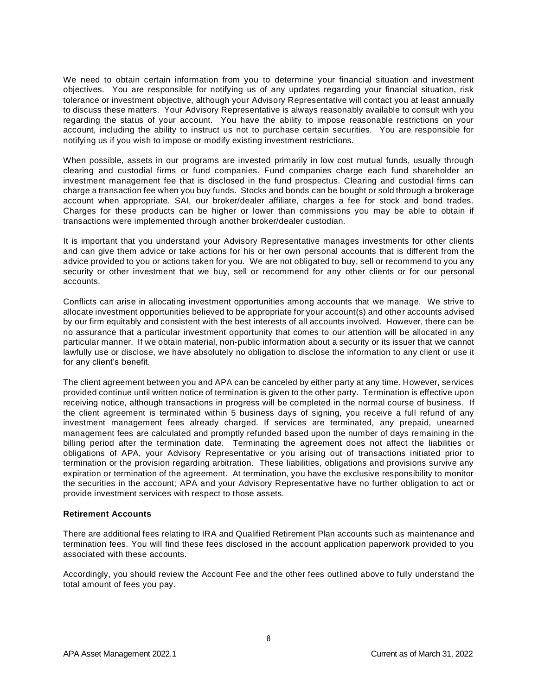We need to obtain certain information from you to determine your financial situation and investment objectives. You are responsible for notifying us of any updates regarding your financial situation, risk tolerance or investment objective, although your Advisory Representative will contact you at least annually to discuss these matters. Your Advisory Representative is always reasonably available to consult with you regarding the status of your account. You have the ability to impose reasonable restrictions on your account, including the ability to instruct us not to purchase certain securities. You are responsible for notifying us if you wish to impose or modify existing investment restrictions.

When possible, assets in our programs are invested primarily in low cost mutual funds, usually through clearing and custodial firms or fund companies. Fund companies charge each fund shareholder an investment management fee that is disclosed in the fund prospectus. Clearing and custodial firms can charge a transaction fee when you buy funds. Stocks and bonds can be bought or sold through a brokerage account when appropriate. SAI, our broker/dealer affiliate, charges a fee for stock and bond trades. Charges for these products can be higher or lower than commissions you may be able to obtain if transactions were implemented through another broker/dealer custodian.

It is important that you understand your Advisory Representative manages investments for other clients and can give them advice or take actions for his or her own personal accounts that is different from the advice provided to you or actions taken for you. We are not obligated to buy, sell or recommend to you any security or other investment that we buy, sell or recommend for any other clients or for our personal accounts.

Conflicts can arise in allocating investment opportunities among accounts that we manage. We strive to allocate investment opportunities believed to be appropriate for your account(s) and other accounts advised by our firm equitably and consistent with the best interests of all accounts involved. However, there can be no assurance that a particular investment opportunity that comes to our attention will be allocated in any particular manner. If we obtain material, non-public information about a security or its issuer that we cannot lawfully use or disclose, we have absolutely no obligation to disclose the information to any client or use it for any client's benefit.

The client agreement between you and APA can be canceled by either party at any time. However, services provided continue until written notice of termination is given to the other party. Termination is effective upon receiving notice, although transactions in progress will be completed in the normal course of business. If the client agreement is terminated within 5 business days of signing, you receive a full refund of any investment management fees already charged. If services are terminated, any prepaid, unearned management fees are calculated and promptly refunded based upon the number of days remaining in the billing period after the termination date. Terminating the agreement does not affect the liabilities or obligations of APA, your Advisory Representative or you arising out of transactions initiated prior to termination or the provision regarding arbitration. These liabilities, obligations and provisions survive any expiration or termination of the agreement. At termination, you have the exclusive responsibility to monitor the securities in the account; APA and your Advisory Representative have no further obligation to act or provide investment services with respect to those assets.

#### <span id="page-4-0"></span>**Retirement Accounts**

There are additional fees relating to IRA and Qualified Retirement Plan accounts such as maintenance and termination fees. You will find these fees disclosed in the account application paperwork provided to you associated with these accounts.

Accordingly, you should review the Account Fee and the other fees outlined above to fully understand the total amount of fees you pay.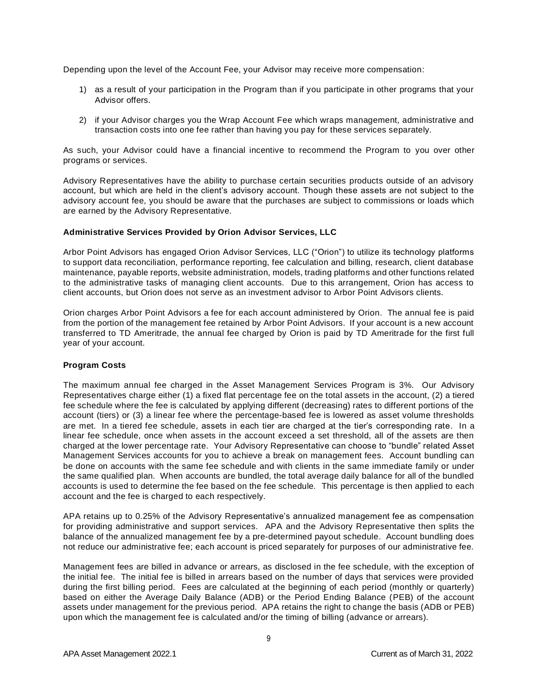Depending upon the level of the Account Fee, your Advisor may receive more compensation:

- 1) as a result of your participation in the Program than if you participate in other programs that your Advisor offers.
- 2) if your Advisor charges you the Wrap Account Fee which wraps management, administrative and transaction costs into one fee rather than having you pay for these services separately.

As such, your Advisor could have a financial incentive to recommend the Program to you over other programs or services.

Advisory Representatives have the ability to purchase certain securities products outside of an advisory account, but which are held in the client's advisory account. Though these assets are not subject to the advisory account fee, you should be aware that the purchases are subject to commissions or loads which are earned by the Advisory Representative.

#### <span id="page-5-0"></span>**Administrative Services Provided by Orion Advisor Services, LLC**

Arbor Point Advisors has engaged Orion Advisor Services, LLC ("Orion") to utilize its technology platforms to support data reconciliation, performance reporting, fee calculation and billing, research, client database maintenance, payable reports, website administration, models, trading platforms and other functions related to the administrative tasks of managing client accounts. Due to this arrangement, Orion has access to client accounts, but Orion does not serve as an investment advisor to Arbor Point Advisors clients.

Orion charges Arbor Point Advisors a fee for each account administered by Orion. The annual fee is paid from the portion of the management fee retained by Arbor Point Advisors. If your account is a new account transferred to TD Ameritrade, the annual fee charged by Orion is paid by TD Ameritrade for the first full year of your account.

#### <span id="page-5-1"></span>**Program Costs**

The maximum annual fee charged in the Asset Management Services Program is 3%. Our Advisory Representatives charge either (1) a fixed flat percentage fee on the total assets in the account, (2) a tiered fee schedule where the fee is calculated by applying different (decreasing) rates to different portions of the account (tiers) or (3) a linear fee where the percentage-based fee is lowered as asset volume thresholds are met. In a tiered fee schedule, assets in each tier are charged at the tier's corresponding rate. In a linear fee schedule, once when assets in the account exceed a set threshold, all of the assets are then charged at the lower percentage rate. Your Advisory Representative can choose to "bundle" related Asset Management Services accounts for you to achieve a break on management fees. Account bundling can be done on accounts with the same fee schedule and with clients in the same immediate family or under the same qualified plan. When accounts are bundled, the total average daily balance for all of the bundled accounts is used to determine the fee based on the fee schedule. This percentage is then applied to each account and the fee is charged to each respectively.

APA retains up to 0.25% of the Advisory Representative's annualized management fee as compensation for providing administrative and support services. APA and the Advisory Representative then splits the balance of the annualized management fee by a pre-determined payout schedule. Account bundling does not reduce our administrative fee; each account is priced separately for purposes of our administrative fee.

Management fees are billed in advance or arrears, as disclosed in the fee schedule, with the exception of the initial fee. The initial fee is billed in arrears based on the number of days that services were provided during the first billing period. Fees are calculated at the beginning of each period (monthly or quarterly) based on either the Average Daily Balance (ADB) or the Period Ending Balance (PEB) of the account assets under management for the previous period. APA retains the right to change the basis (ADB or PEB) upon which the management fee is calculated and/or the timing of billing (advance or arrears).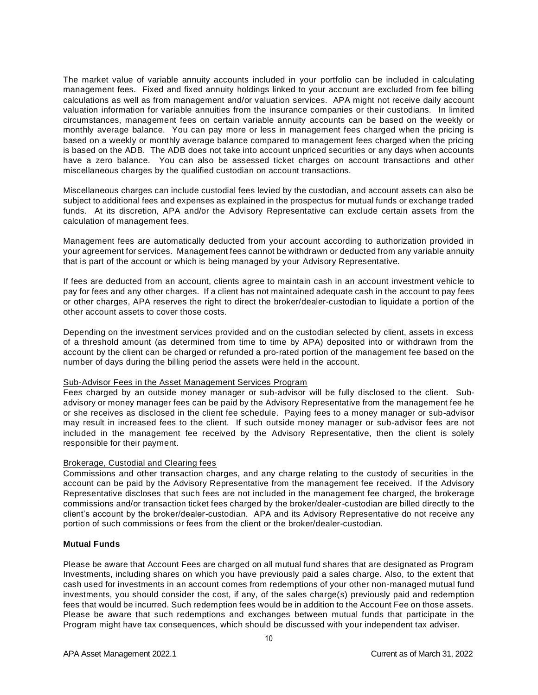The market value of variable annuity accounts included in your portfolio can be included in calculating management fees. Fixed and fixed annuity holdings linked to your account are excluded from fee billing calculations as well as from management and/or valuation services. APA might not receive daily account valuation information for variable annuities from the insurance companies or their custodians. In limited circumstances, management fees on certain variable annuity accounts can be based on the weekly or monthly average balance. You can pay more or less in management fees charged when the pricing is based on a weekly or monthly average balance compared to management fees charged when the pricing is based on the ADB. The ADB does not take into account unpriced securities or any days when accounts have a zero balance. You can also be assessed ticket charges on account transactions and other miscellaneous charges by the qualified custodian on account transactions.

Miscellaneous charges can include custodial fees levied by the custodian, and account assets can also be subject to additional fees and expenses as explained in the prospectus for mutual funds or exchange traded funds. At its discretion, APA and/or the Advisory Representative can exclude certain assets from the calculation of management fees.

Management fees are automatically deducted from your account according to authorization provided in your agreement for services. Management fees cannot be withdrawn or deducted from any variable annuity that is part of the account or which is being managed by your Advisory Representative.

If fees are deducted from an account, clients agree to maintain cash in an account investment vehicle to pay for fees and any other charges. If a client has not maintained adequate cash in the account to pay fees or other charges, APA reserves the right to direct the broker/dealer-custodian to liquidate a portion of the other account assets to cover those costs.

Depending on the investment services provided and on the custodian selected by client, assets in excess of a threshold amount (as determined from time to time by APA) deposited into or withdrawn from the account by the client can be charged or refunded a pro-rated portion of the management fee based on the number of days during the billing period the assets were held in the account.

#### <span id="page-6-0"></span>Sub-Advisor Fees in the Asset Management Services Program

Fees charged by an outside money manager or sub-advisor will be fully disclosed to the client. Subadvisory or money manager fees can be paid by the Advisory Representative from the management fee he or she receives as disclosed in the client fee schedule. Paying fees to a money manager or sub-advisor may result in increased fees to the client. If such outside money manager or sub-advisor fees are not included in the management fee received by the Advisory Representative, then the client is solely responsible for their payment.

#### <span id="page-6-1"></span>Brokerage, Custodial and Clearing fees

Commissions and other transaction charges, and any charge relating to the custody of securities in the account can be paid by the Advisory Representative from the management fee received. If the Advisory Representative discloses that such fees are not included in the management fee charged, the brokerage commissions and/or transaction ticket fees charged by the broker/dealer-custodian are billed directly to the client's account by the broker/dealer-custodian. APA and its Advisory Representative do not receive any portion of such commissions or fees from the client or the broker/dealer-custodian.

#### <span id="page-6-2"></span>**Mutual Funds**

Please be aware that Account Fees are charged on all mutual fund shares that are designated as Program Investments, including shares on which you have previously paid a sales charge. Also, to the extent that cash used for investments in an account comes from redemptions of your other non-managed mutual fund investments, you should consider the cost, if any, of the sales charge(s) previously paid and redemption fees that would be incurred. Such redemption fees would be in addition to the Account Fee on those assets. Please be aware that such redemptions and exchanges between mutual funds that participate in the Program might have tax consequences, which should be discussed with your independent tax adviser.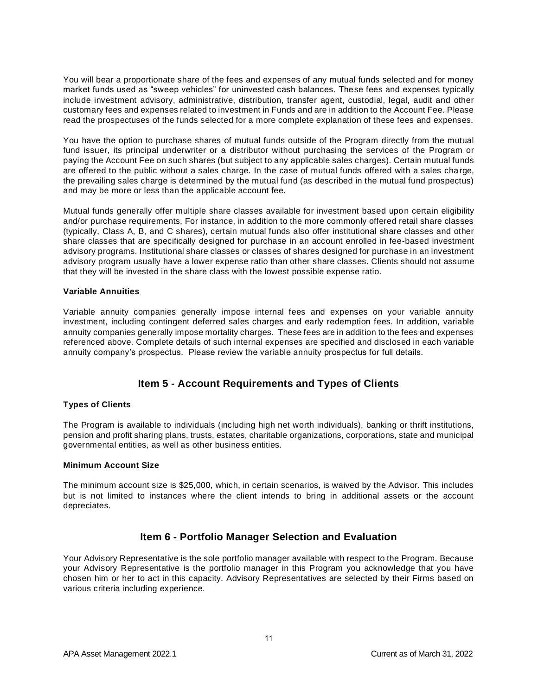You will bear a proportionate share of the fees and expenses of any mutual funds selected and for money market funds used as "sweep vehicles" for uninvested cash balances. These fees and expenses typically include investment advisory, administrative, distribution, transfer agent, custodial, legal, audit and other customary fees and expenses related to investment in Funds and are in addition to the Account Fee. Please read the prospectuses of the funds selected for a more complete explanation of these fees and expenses.

You have the option to purchase shares of mutual funds outside of the Program directly from the mutual fund issuer, its principal underwriter or a distributor without purchasing the services of the Program or paying the Account Fee on such shares (but subject to any applicable sales charges). Certain mutual funds are offered to the public without a sales charge. In the case of mutual funds offered with a sales charge, the prevailing sales charge is determined by the mutual fund (as described in the mutual fund prospectus) and may be more or less than the applicable account fee.

Mutual funds generally offer multiple share classes available for investment based upon certain eligibility and/or purchase requirements. For instance, in addition to the more commonly offered retail share classes (typically, Class A, B, and C shares), certain mutual funds also offer institutional share classes and other share classes that are specifically designed for purchase in an account enrolled in fee-based investment advisory programs. Institutional share classes or classes of shares designed for purchase in an investment advisory program usually have a lower expense ratio than other share classes. Clients should not assume that they will be invested in the share class with the lowest possible expense ratio.

#### <span id="page-7-0"></span>**Variable Annuities**

Variable annuity companies generally impose internal fees and expenses on your variable annuity investment, including contingent deferred sales charges and early redemption fees. In addition, variable annuity companies generally impose mortality charges. These fees are in addition to the fees and expenses referenced above. Complete details of such internal expenses are specified and disclosed in each variable annuity company's prospectus. Please review the variable annuity prospectus for full details.

# **Item 5 - Account Requirements and Types of Clients**

#### <span id="page-7-2"></span><span id="page-7-1"></span>**Types of Clients**

The Program is available to individuals (including high net worth individuals), banking or thrift institutions, pension and profit sharing plans, trusts, estates, charitable organizations, corporations, state and municipal governmental entities, as well as other business entities.

#### <span id="page-7-3"></span>**Minimum Account Size**

The minimum account size is \$25,000, which, in certain scenarios, is waived by the Advisor. This includes but is not limited to instances where the client intends to bring in additional assets or the account depreciates.

# **Item 6 - Portfolio Manager Selection and Evaluation**

<span id="page-7-4"></span>Your Advisory Representative is the sole portfolio manager available with respect to the Program. Because your Advisory Representative is the portfolio manager in this Program you acknowledge that you have chosen him or her to act in this capacity. Advisory Representatives are selected by their Firms based on various criteria including experience.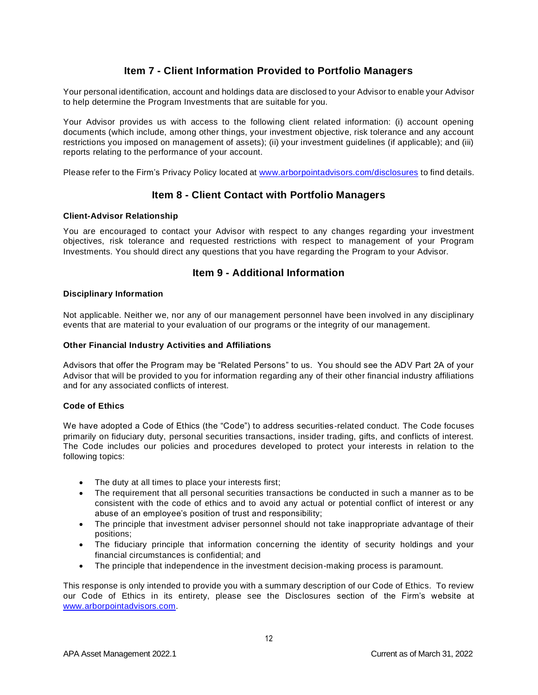# **Item 7 - Client Information Provided to Portfolio Managers**

<span id="page-8-0"></span>Your personal identification, account and holdings data are disclosed to your Advisor to enable your Advisor to help determine the Program Investments that are suitable for you.

Your Advisor provides us with access to the following client related information: (i) account opening documents (which include, among other things, your investment objective, risk tolerance and any account restrictions you imposed on management of assets); (ii) your investment guidelines (if applicable); and (iii) reports relating to the performance of your account.

<span id="page-8-1"></span>Please refer to the Firm's Privacy Policy located at [www.arborpointadvisors.com/disclosures](http://www.arborpointadvisors.com/disclosures) to find details.

# **Item 8 - Client Contact with Portfolio Managers**

#### **Client-Advisor Relationship**

You are encouraged to contact your Advisor with respect to any changes regarding your investment objectives, risk tolerance and requested restrictions with respect to management of your Program Investments. You should direct any questions that you have regarding the Program to your Advisor.

### **Item 9 - Additional Information**

#### <span id="page-8-3"></span><span id="page-8-2"></span>**Disciplinary Information**

Not applicable. Neither we, nor any of our management personnel have been involved in any disciplinary events that are material to your evaluation of our programs or the integrity of our management.

#### <span id="page-8-4"></span>**Other Financial Industry Activities and Affiliations**

Advisors that offer the Program may be "Related Persons" to us. You should see the ADV Part 2A of your Advisor that will be provided to you for information regarding any of their other financial industry affiliations and for any associated conflicts of interest.

#### <span id="page-8-5"></span>**Code of Ethics**

We have adopted a Code of Ethics (the "Code") to address securities-related conduct. The Code focuses primarily on fiduciary duty, personal securities transactions, insider trading, gifts, and conflicts of interest. The Code includes our policies and procedures developed to protect your interests in relation to the following topics:

- The duty at all times to place your interests first;
- The requirement that all personal securities transactions be conducted in such a manner as to be consistent with the code of ethics and to avoid any actual or potential conflict of interest or any abuse of an employee's position of trust and responsibility;
- The principle that investment adviser personnel should not take inappropriate advantage of their positions;
- The fiduciary principle that information concerning the identity of security holdings and your financial circumstances is confidential; and
- The principle that independence in the investment decision-making process is paramount.

This response is only intended to provide you with a summary description of our Code of Ethics. To review our Code of Ethics in its entirety, please see the Disclosures section of the Firm's website at [www.arborpointadvisors.com.](http://www.arborpointadvisors.com/)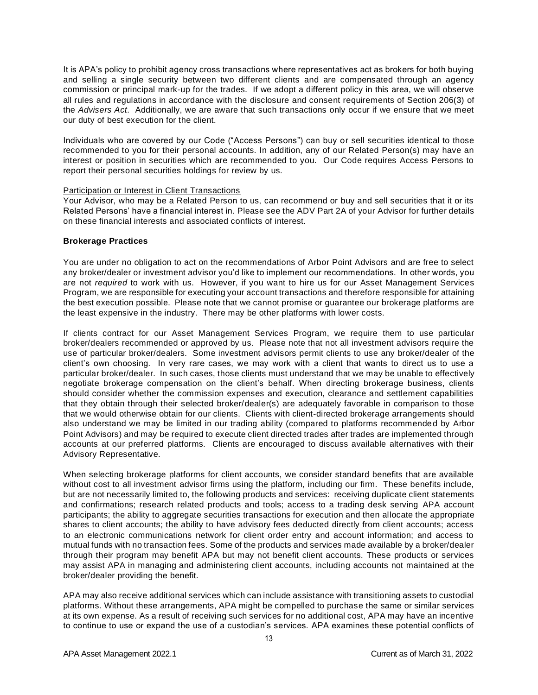It is APA's policy to prohibit agency cross transactions where representatives act as brokers for both buying and selling a single security between two different clients and are compensated through an agency commission or principal mark-up for the trades. If we adopt a different policy in this area, we will observe all rules and regulations in accordance with the disclosure and consent requirements of Section 206(3) of the *Advisers Act*. Additionally, we are aware that such transactions only occur if we ensure that we meet our duty of best execution for the client.

Individuals who are covered by our Code ("Access Persons") can buy or sell securities identical to those recommended to you for their personal accounts. In addition, any of our Related Person(s) may have an interest or position in securities which are recommended to you. Our Code requires Access Persons to report their personal securities holdings for review by us.

#### Participation or Interest in Client Transactions

Your Advisor, who may be a Related Person to us, can recommend or buy and sell securities that it or its Related Persons' have a financial interest in. Please see the ADV Part 2A of your Advisor for further details on these financial interests and associated conflicts of interest.

#### <span id="page-9-0"></span>**Brokerage Practices**

You are under no obligation to act on the recommendations of Arbor Point Advisors and are free to select any broker/dealer or investment advisor you'd like to implement our recommendations. In other words, you are not *required* to work with us. However, if you want to hire us for our Asset Management Services Program, we are responsible for executing your account transactions and therefore responsible for attaining the best execution possible. Please note that we cannot promise or guarantee our brokerage platforms are the least expensive in the industry. There may be other platforms with lower costs.

If clients contract for our Asset Management Services Program, we require them to use particular broker/dealers recommended or approved by us. Please note that not all investment advisors require the use of particular broker/dealers. Some investment advisors permit clients to use any broker/dealer of the client's own choosing. In very rare cases, we may work with a client that wants to direct us to use a particular broker/dealer. In such cases, those clients must understand that we may be unable to effectively negotiate brokerage compensation on the client's behalf. When directing brokerage business, clients should consider whether the commission expenses and execution, clearance and settlement capabilities that they obtain through their selected broker/dealer(s) are adequately favorable in comparison to those that we would otherwise obtain for our clients. Clients with client-directed brokerage arrangements should also understand we may be limited in our trading ability (compared to platforms recommended by Arbor Point Advisors) and may be required to execute client directed trades after trades are implemented through accounts at our preferred platforms. Clients are encouraged to discuss available alternatives with their Advisory Representative.

When selecting brokerage platforms for client accounts, we consider standard benefits that are available without cost to all investment advisor firms using the platform, including our firm. These benefits include, but are not necessarily limited to, the following products and services: receiving duplicate client statements and confirmations; research related products and tools; access to a trading desk serving APA account participants; the ability to aggregate securities transactions for execution and then allocate the appropriate shares to client accounts; the ability to have advisory fees deducted directly from client accounts; access to an electronic communications network for client order entry and account information; and access to mutual funds with no transaction fees. Some of the products and services made available by a broker/dealer through their program may benefit APA but may not benefit client accounts. These products or services may assist APA in managing and administering client accounts, including accounts not maintained at the broker/dealer providing the benefit.

APA may also receive additional services which can include assistance with transitioning assets to custodial platforms. Without these arrangements, APA might be compelled to purchase the same or similar services at its own expense. As a result of receiving such services for no additional cost, APA may have an incentive to continue to use or expand the use of a custodian's services. APA examines these potential conflicts of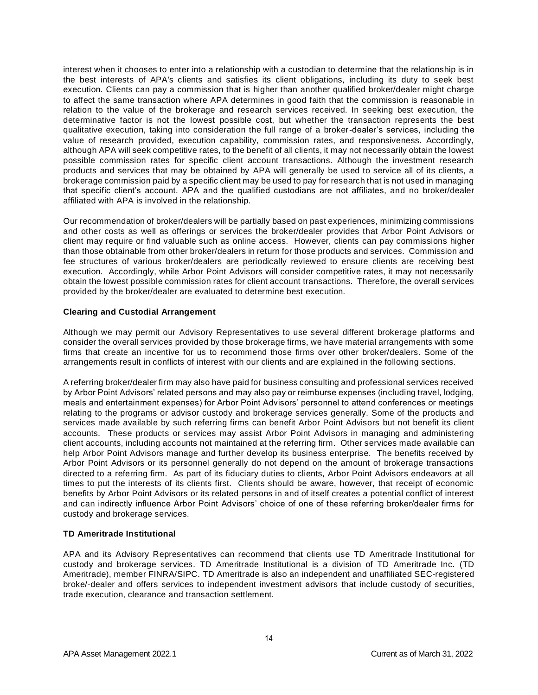interest when it chooses to enter into a relationship with a custodian to determine that the relationship is in the best interests of APA's clients and satisfies its client obligations, including its duty to seek best execution. Clients can pay a commission that is higher than another qualified broker/dealer might charge to affect the same transaction where APA determines in good faith that the commission is reasonable in relation to the value of the brokerage and research services received. In seeking best execution, the determinative factor is not the lowest possible cost, but whether the transaction represents the best qualitative execution, taking into consideration the full range of a broker-dealer's services, including the value of research provided, execution capability, commission rates, and responsiveness. Accordingly, although APA will seek competitive rates, to the benefit of all clients, it may not necessarily obtain the lowest possible commission rates for specific client account transactions. Although the investment research products and services that may be obtained by APA will generally be used to service all of its clients, a brokerage commission paid by a specific client may be used to pay for research that is not used in managing that specific client's account. APA and the qualified custodians are not affiliates, and no broker/dealer affiliated with APA is involved in the relationship.

Our recommendation of broker/dealers will be partially based on past experiences, minimizing commissions and other costs as well as offerings or services the broker/dealer provides that Arbor Point Advisors or client may require or find valuable such as online access. However, clients can pay commissions higher than those obtainable from other broker/dealers in return for those products and services. Commission and fee structures of various broker/dealers are periodically reviewed to ensure clients are receiving best execution. Accordingly, while Arbor Point Advisors will consider competitive rates, it may not necessarily obtain the lowest possible commission rates for client account transactions. Therefore, the overall services provided by the broker/dealer are evaluated to determine best execution.

#### <span id="page-10-0"></span>**Clearing and Custodial Arrangement**

Although we may permit our Advisory Representatives to use several different brokerage platforms and consider the overall services provided by those brokerage firms, we have material arrangements with some firms that create an incentive for us to recommend those firms over other broker/dealers. Some of the arrangements result in conflicts of interest with our clients and are explained in the following sections.

A referring broker/dealer firm may also have paid for business consulting and professional services received by Arbor Point Advisors' related persons and may also pay or reimburse expenses (including travel, lodging, meals and entertainment expenses) for Arbor Point Advisors' personnel to attend conferences or meetings relating to the programs or advisor custody and brokerage services generally. Some of the products and services made available by such referring firms can benefit Arbor Point Advisors but not benefit its client accounts. These products or services may assist Arbor Point Advisors in managing and administering client accounts, including accounts not maintained at the referring firm. Other services made available can help Arbor Point Advisors manage and further develop its business enterprise. The benefits received by Arbor Point Advisors or its personnel generally do not depend on the amount of brokerage transactions directed to a referring firm. As part of its fiduciary duties to clients, Arbor Point Advisors endeavors at all times to put the interests of its clients first. Clients should be aware, however, that receipt of economic benefits by Arbor Point Advisors or its related persons in and of itself creates a potential conflict of interest and can indirectly influence Arbor Point Advisors' choice of one of these referring broker/dealer firms for custody and brokerage services.

#### <span id="page-10-1"></span>**TD Ameritrade Institutional**

APA and its Advisory Representatives can recommend that clients use TD Ameritrade Institutional for custody and brokerage services. TD Ameritrade Institutional is a division of TD Ameritrade Inc. (TD Ameritrade), member FINRA/SIPC. TD Ameritrade is also an independent and unaffiliated SEC-registered broke/-dealer and offers services to independent investment advisors that include custody of securities, trade execution, clearance and transaction settlement.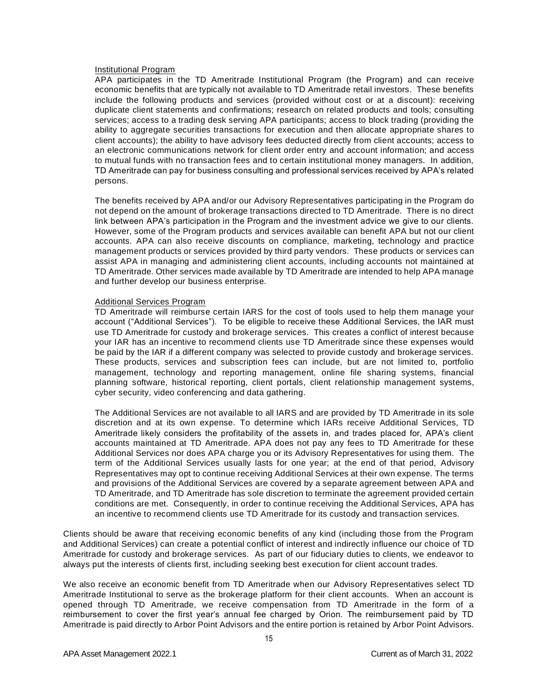#### Institutional Program

APA participates in the TD Ameritrade Institutional Program (the Program) and can receive economic benefits that are typically not available to TD Ameritrade retail investors. These benefits include the following products and services (provided without cost or at a discount): receiving duplicate client statements and confirmations; research on related products and tools; consulting services; access to a trading desk serving APA participants; access to block trading (providing the ability to aggregate securities transactions for execution and then allocate appropriate shares to client accounts); the ability to have advisory fees deducted directly from client accounts; access to an electronic communications network for client order entry and account information; and access to mutual funds with no transaction fees and to certain institutional money managers. In addition, TD Ameritrade can pay for business consulting and professional services received by APA's related persons.

The benefits received by APA and/or our Advisory Representatives participating in the Program do not depend on the amount of brokerage transactions directed to TD Ameritrade. There is no direct link between APA's participation in the Program and the investment advice we give to our clients. However, some of the Program products and services available can benefit APA but not our client accounts. APA can also receive discounts on compliance, marketing, technology and practice management products or services provided by third party vendors. These products or services can assist APA in managing and administering client accounts, including accounts not maintained at TD Ameritrade. Other services made available by TD Ameritrade are intended to help APA manage and further develop our business enterprise.

#### Additional Services Program

TD Ameritrade will reimburse certain IARS for the cost of tools used to help them manage your account ("Additional Services"). To be eligible to receive these Additional Services, the IAR must use TD Ameritrade for custody and brokerage services. This creates a conflict of interest because your IAR has an incentive to recommend clients use TD Ameritrade since these expenses would be paid by the IAR if a different company was selected to provide custody and brokerage services. These products, services and subscription fees can include, but are not limited to, portfolio management, technology and reporting management, online file sharing systems, financial planning software, historical reporting, client portals, client relationship management systems, cyber security, video conferencing and data gathering.

The Additional Services are not available to all IARS and are provided by TD Ameritrade in its sole discretion and at its own expense. To determine which IARs receive Additional Services, TD Ameritrade likely considers the profitability of the assets in, and trades placed for, APA's client accounts maintained at TD Ameritrade. APA does not pay any fees to TD Ameritrade for these Additional Services nor does APA charge you or its Advisory Representatives for using them. The term of the Additional Services usually lasts for one year; at the end of that period, Advisory Representatives may opt to continue receiving Additional Services at their own expense. The terms and provisions of the Additional Services are covered by a separate agreement between APA and TD Ameritrade, and TD Ameritrade has sole discretion to terminate the agreement provided certain conditions are met. Consequently, in order to continue receiving the Additional Services, APA has an incentive to recommend clients use TD Ameritrade for its custody and transaction services.

Clients should be aware that receiving economic benefits of any kind (including those from the Program and Additional Services) can create a potential conflict of interest and indirectly influence our choice of TD Ameritrade for custody and brokerage services. As part of our fiduciary duties to clients, we endeavor to always put the interests of clients first, including seeking best execution for client account trades.

We also receive an economic benefit from TD Ameritrade when our Advisory Representatives select TD Ameritrade Institutional to serve as the brokerage platform for their client accounts. When an account is opened through TD Ameritrade, we receive compensation from TD Ameritrade in the form of a reimbursement to cover the first year's annual fee charged by Orion. The reimbursement paid by TD Ameritrade is paid directly to Arbor Point Advisors and the entire portion is retained by Arbor Point Advisors.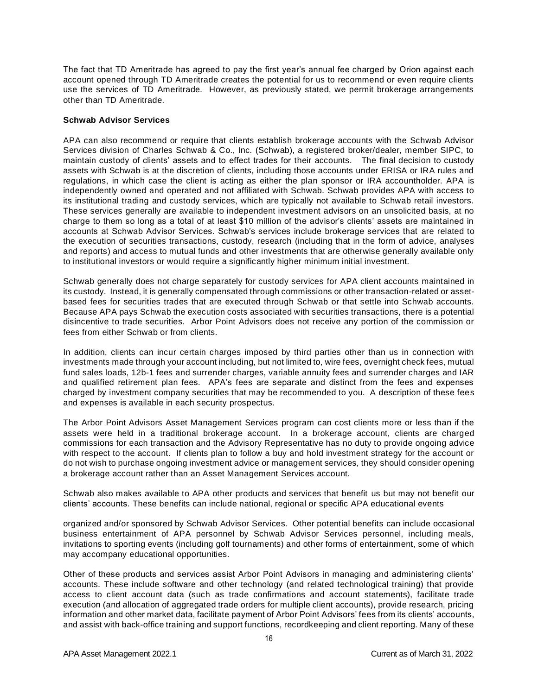The fact that TD Ameritrade has agreed to pay the first year's annual fee charged by Orion against each account opened through TD Ameritrade creates the potential for us to recommend or even require clients use the services of TD Ameritrade. However, as previously stated, we permit brokerage arrangements other than TD Ameritrade.

#### <span id="page-12-0"></span>**Schwab Advisor Services**

APA can also recommend or require that clients establish brokerage accounts with the Schwab Advisor Services division of Charles Schwab & Co., Inc. (Schwab), a registered broker/dealer, member SIPC, to maintain custody of clients' assets and to effect trades for their accounts. The final decision to custody assets with Schwab is at the discretion of clients, including those accounts under ERISA or IRA rules and regulations, in which case the client is acting as either the plan sponsor or IRA accountholder. APA is independently owned and operated and not affiliated with Schwab. Schwab provides APA with access to its institutional trading and custody services, which are typically not available to Schwab retail investors. These services generally are available to independent investment advisors on an unsolicited basis, at no charge to them so long as a total of at least \$10 million of the advisor's clients' assets are maintained in accounts at Schwab Advisor Services. Schwab's services include brokerage services that are related to the execution of securities transactions, custody, research (including that in the form of advice, analyses and reports) and access to mutual funds and other investments that are otherwise generally available only to institutional investors or would require a significantly higher minimum initial investment.

Schwab generally does not charge separately for custody services for APA client accounts maintained in its custody. Instead, it is generally compensated through commissions or other transaction-related or assetbased fees for securities trades that are executed through Schwab or that settle into Schwab accounts. Because APA pays Schwab the execution costs associated with securities transactions, there is a potential disincentive to trade securities. Arbor Point Advisors does not receive any portion of the commission or fees from either Schwab or from clients.

In addition, clients can incur certain charges imposed by third parties other than us in connection with investments made through your account including, but not limited to, wire fees, overnight check fees, mutual fund sales loads, 12b-1 fees and surrender charges, variable annuity fees and surrender charges and IAR and qualified retirement plan fees. APA's fees are separate and distinct from the fees and expenses charged by investment company securities that may be recommended to you. A description of these fees and expenses is available in each security prospectus.

The Arbor Point Advisors Asset Management Services program can cost clients more or less than if the assets were held in a traditional brokerage account. In a brokerage account, clients are charged commissions for each transaction and the Advisory Representative has no duty to provide ongoing advice with respect to the account. If clients plan to follow a buy and hold investment strategy for the account or do not wish to purchase ongoing investment advice or management services, they should consider opening a brokerage account rather than an Asset Management Services account.

Schwab also makes available to APA other products and services that benefit us but may not benefit our clients' accounts. These benefits can include national, regional or specific APA educational events

organized and/or sponsored by Schwab Advisor Services. Other potential benefits can include occasional business entertainment of APA personnel by Schwab Advisor Services personnel, including meals, invitations to sporting events (including golf tournaments) and other forms of entertainment, some of which may accompany educational opportunities.

Other of these products and services assist Arbor Point Advisors in managing and administering clients' accounts. These include software and other technology (and related technological training) that provide access to client account data (such as trade confirmations and account statements), facilitate trade execution (and allocation of aggregated trade orders for multiple client accounts), provide research, pricing information and other market data, facilitate payment of Arbor Point Advisors' fees from its clients' accounts, and assist with back-office training and support functions, recordkeeping and client reporting. Many of these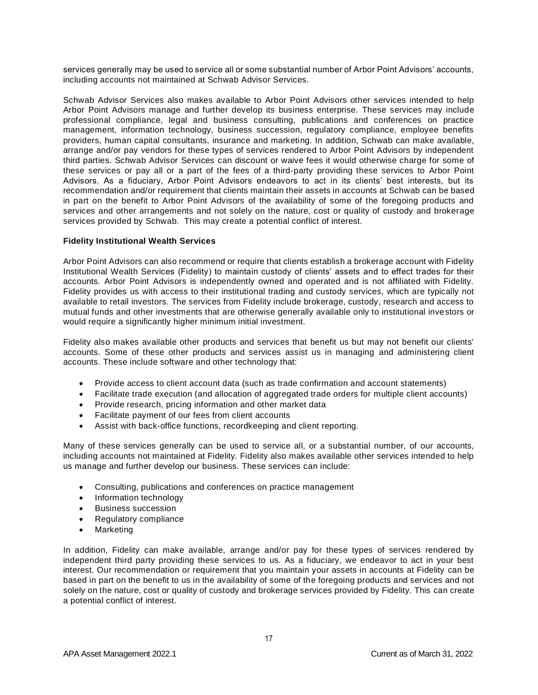services generally may be used to service all or some substantial number of Arbor Point Advisors' accounts, including accounts not maintained at Schwab Advisor Services.

Schwab Advisor Services also makes available to Arbor Point Advisors other services intended to help Arbor Point Advisors manage and further develop its business enterprise. These services may include professional compliance, legal and business consulting, publications and conferences on practice management, information technology, business succession, regulatory compliance, employee benefits providers, human capital consultants, insurance and marketing. In addition, Schwab can make available, arrange and/or pay vendors for these types of services rendered to Arbor Point Advisors by independent third parties. Schwab Advisor Services can discount or waive fees it would otherwise charge for some of these services or pay all or a part of the fees of a third-party providing these services to Arbor Point Advisors. As a fiduciary, Arbor Point Advisors endeavors to act in its clients' best interests, but its recommendation and/or requirement that clients maintain their assets in accounts at Schwab can be based in part on the benefit to Arbor Point Advisors of the availability of some of the foregoing products and services and other arrangements and not solely on the nature, cost or quality of custody and brokerage services provided by Schwab. This may create a potential conflict of interest.

#### <span id="page-13-0"></span>**Fidelity Institutional Wealth Services**

Arbor Point Advisors can also recommend or require that clients establish a brokerage account with Fidelity Institutional Wealth Services (Fidelity) to maintain custody of clients' assets and to effect trades for their accounts. Arbor Point Advisors is independently owned and operated and is not affiliated with Fidelity. Fidelity provides us with access to their institutional trading and custody services, which are typically not available to retail investors. The services from Fidelity include brokerage, custody, research and access to mutual funds and other investments that are otherwise generally available only to institutional investors or would require a significantly higher minimum initial investment.

Fidelity also makes available other products and services that benefit us but may not benefit our clients' accounts. Some of these other products and services assist us in managing and administering client accounts. These include software and other technology that:

- Provide access to client account data (such as trade confirmation and account statements)
- Facilitate trade execution (and allocation of aggregated trade orders for multiple client accounts)
- Provide research, pricing information and other market data
- Facilitate payment of our fees from client accounts
- Assist with back-office functions, recordkeeping and client reporting.

Many of these services generally can be used to service all, or a substantial number, of our accounts, including accounts not maintained at Fidelity. Fidelity also makes available other services intended to help us manage and further develop our business. These services can include:

- Consulting, publications and conferences on practice management
- Information technology
- Business succession
- Regulatory compliance
- Marketing

In addition, Fidelity can make available, arrange and/or pay for these types of services rendered by independent third party providing these services to us. As a fiduciary, we endeavor to act in your best interest. Our recommendation or requirement that you maintain your assets in accounts at Fidelity can be based in part on the benefit to us in the availability of some of the foregoing products and services and not solely on the nature, cost or quality of custody and brokerage services provided by Fidelity. This can create a potential conflict of interest.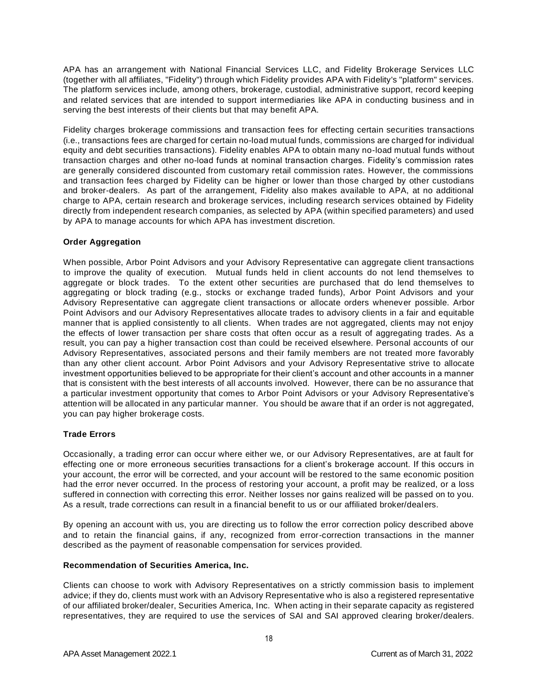APA has an arrangement with National Financial Services LLC, and Fidelity Brokerage Services LLC (together with all affiliates, "Fidelity") through which Fidelity provides APA with Fidelity's "platform" services. The platform services include, among others, brokerage, custodial, administrative support, record keeping and related services that are intended to support intermediaries like APA in conducting business and in serving the best interests of their clients but that may benefit APA.

Fidelity charges brokerage commissions and transaction fees for effecting certain securities transactions (i.e., transactions fees are charged for certain no-load mutual funds, commissions are charged for individual equity and debt securities transactions). Fidelity enables APA to obtain many no-load mutual funds without transaction charges and other no-load funds at nominal transaction charges. Fidelity's commission rates are generally considered discounted from customary retail commission rates. However, the commissions and transaction fees charged by Fidelity can be higher or lower than those charged by other custodians and broker-dealers. As part of the arrangement, Fidelity also makes available to APA, at no additional charge to APA, certain research and brokerage services, including research services obtained by Fidelity directly from independent research companies, as selected by APA (within specified parameters) and used by APA to manage accounts for which APA has investment discretion.

#### <span id="page-14-0"></span>**Order Aggregation**

When possible, Arbor Point Advisors and your Advisory Representative can aggregate client transactions to improve the quality of execution. Mutual funds held in client accounts do not lend themselves to aggregate or block trades. To the extent other securities are purchased that do lend themselves to aggregating or block trading (e.g., stocks or exchange traded funds), Arbor Point Advisors and your Advisory Representative can aggregate client transactions or allocate orders whenever possible. Arbor Point Advisors and our Advisory Representatives allocate trades to advisory clients in a fair and equitable manner that is applied consistently to all clients. When trades are not aggregated, clients may not enjoy the effects of lower transaction per share costs that often occur as a result of aggregating trades. As a result, you can pay a higher transaction cost than could be received elsewhere. Personal accounts of our Advisory Representatives, associated persons and their family members are not treated more favorably than any other client account. Arbor Point Advisors and your Advisory Representative strive to allocate investment opportunities believed to be appropriate for their client's account and other accounts in a manner that is consistent with the best interests of all accounts involved. However, there can be no assurance that a particular investment opportunity that comes to Arbor Point Advisors or your Advisory Representative's attention will be allocated in any particular manner. You should be aware that if an order is not aggregated, you can pay higher brokerage costs.

#### <span id="page-14-1"></span>**Trade Errors**

Occasionally, a trading error can occur where either we, or our Advisory Representatives, are at fault for effecting one or more erroneous securities transactions for a client's brokerage account. If this occurs in your account, the error will be corrected, and your account will be restored to the same economic position had the error never occurred. In the process of restoring your account, a profit may be realized, or a loss suffered in connection with correcting this error. Neither losses nor gains realized will be passed on to you. As a result, trade corrections can result in a financial benefit to us or our affiliated broker/dealers.

By opening an account with us, you are directing us to follow the error correction policy described above and to retain the financial gains, if any, recognized from error-correction transactions in the manner described as the payment of reasonable compensation for services provided.

#### <span id="page-14-2"></span>**Recommendation of Securities America, Inc.**

Clients can choose to work with Advisory Representatives on a strictly commission basis to implement advice; if they do, clients must work with an Advisory Representative who is also a registered representative of our affiliated broker/dealer, Securities America, Inc. When acting in their separate capacity as registered representatives, they are required to use the services of SAI and SAI approved clearing broker/dealers.